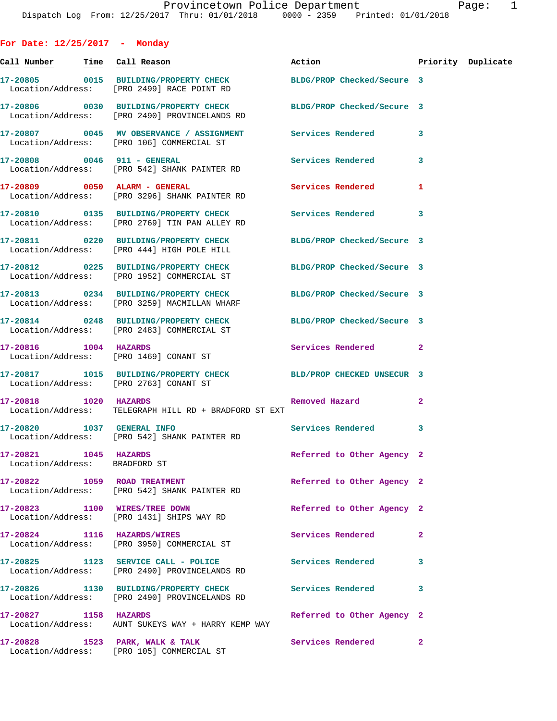| For Date: $12/25/2017$ - Monday                        |                                                                                                                |                            |              |                    |
|--------------------------------------------------------|----------------------------------------------------------------------------------------------------------------|----------------------------|--------------|--------------------|
| Call Number <mark>Time Call Reason</mark>              |                                                                                                                | Action <b>Action</b>       |              | Priority Duplicate |
|                                                        | 17-20805 0015 BUILDING/PROPERTY CHECK<br>Location/Address: [PRO 2499] RACE POINT RD                            | BLDG/PROP Checked/Secure 3 |              |                    |
|                                                        | 17-20806 0030 BUILDING/PROPERTY CHECK<br>Location/Address: [PRO 2490] PROVINCELANDS RD                         | BLDG/PROP Checked/Secure 3 |              |                    |
|                                                        | 17-20807 0045 MV OBSERVANCE / ASSIGNMENT Services Rendered 3<br>Location/Address: [PRO 106] COMMERCIAL ST      |                            |              |                    |
|                                                        | 17-20808 0046 911 - GENERAL<br>Location/Address: [PRO 542] SHANK PAINTER RD                                    | <b>Services Rendered</b>   | 3            |                    |
|                                                        | 17-20809 0050 ALARM - GENERAL<br>Location/Address: [PRO 3296] SHANK PAINTER RD                                 | Services Rendered          | 1            |                    |
|                                                        | 17-20810 0135 BUILDING/PROPERTY CHECK Services Rendered<br>Location/Address: [PRO 2769] TIN PAN ALLEY RD       |                            | 3            |                    |
|                                                        | 17-20811 0220 BUILDING/PROPERTY CHECK BLDG/PROP Checked/Secure 3<br>Location/Address: [PRO 444] HIGH POLE HILL |                            |              |                    |
|                                                        | 17-20812 0225 BUILDING/PROPERTY CHECK<br>Location/Address: [PRO 1952] COMMERCIAL ST                            | BLDG/PROP Checked/Secure 3 |              |                    |
|                                                        | 17-20813 0234 BUILDING/PROPERTY CHECK<br>Location/Address: [PRO 3259] MACMILLAN WHARF                          | BLDG/PROP Checked/Secure 3 |              |                    |
|                                                        | 17-20814 0248 BUILDING/PROPERTY CHECK BLDG/PROP Checked/Secure 3<br>Location/Address: [PRO 2483] COMMERCIAL ST |                            |              |                    |
| 17-20816 1004 HAZARDS                                  | Location/Address: [PRO 1469] CONANT ST                                                                         | Services Rendered          | $\mathbf{2}$ |                    |
|                                                        | 17-20817 1015 BUILDING/PROPERTY CHECK BLD/PROP CHECKED UNSECUR 3<br>Location/Address: [PRO 2763] CONANT ST     |                            |              |                    |
| 17-20818 1020 HAZARDS                                  | Location/Address: TELEGRAPH HILL RD + BRADFORD ST EXT                                                          | Removed Hazard             | $\mathbf{2}$ |                    |
| 17-20820 1037 GENERAL INFO                             | Location/Address: [PRO 542] SHANK PAINTER RD                                                                   | <b>Services Rendered</b>   | 3            |                    |
| 17-20821 1045 HAZARDS<br>Location/Address: BRADFORD ST |                                                                                                                | Referred to Other Agency 2 |              |                    |
|                                                        | 17-20822 1059 ROAD TREATMENT<br>Location/Address: [PRO 542] SHANK PAINTER RD                                   | Referred to Other Agency 2 |              |                    |
|                                                        | 17-20823 1100 WIRES/TREE DOWN<br>Location/Address: [PRO 1431] SHIPS WAY RD                                     | Referred to Other Agency 2 |              |                    |
| 17-20824 1116 HAZARDS/WIRES                            | Location/Address: [PRO 3950] COMMERCIAL ST                                                                     | Services Rendered          | 2            |                    |
|                                                        | 17-20825 1123 SERVICE CALL - POLICE<br>Location/Address: [PRO 2490] PROVINCELANDS RD                           | Services Rendered          | 3            |                    |
|                                                        | 17-20826 1130 BUILDING/PROPERTY CHECK<br>Location/Address: [PRO 2490] PROVINCELANDS RD                         | <b>Services Rendered</b>   | 3            |                    |
| 17-20827 1158 HAZARDS                                  | Location/Address: AUNT SUKEYS WAY + HARRY KEMP WAY                                                             | Referred to Other Agency 2 |              |                    |
|                                                        | 17-20828 1523 PARK, WALK & TALK<br>Location/Address: [PRO 105] COMMERCIAL ST                                   | <b>Services Rendered</b>   | 2            |                    |
|                                                        |                                                                                                                |                            |              |                    |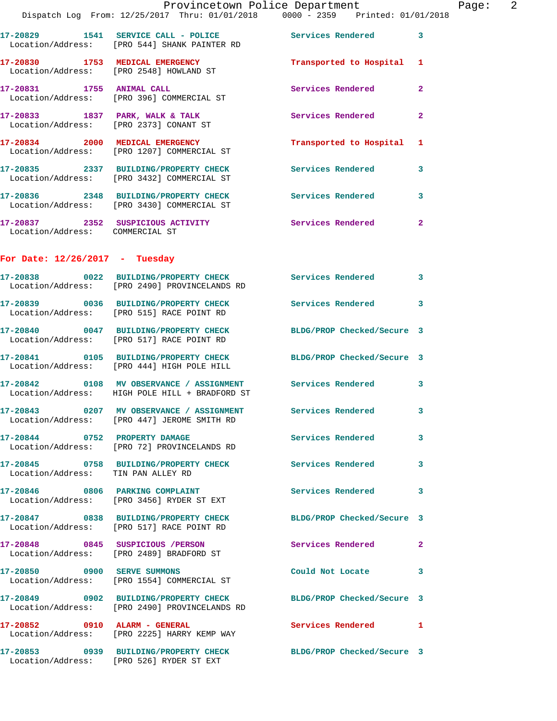|                                    | Dispatch Log From: 12/25/2017 Thru: 01/01/2018 0000 - 2359 Printed: 01/01/2018                                    | Provincetown Police Department | Page: 2      |
|------------------------------------|-------------------------------------------------------------------------------------------------------------------|--------------------------------|--------------|
|                                    | 17-20829 1541 SERVICE CALL - POLICE Services Rendered 3<br>Location/Address: [PRO 544] SHANK PAINTER RD           |                                |              |
|                                    | 17-20830 1753 MEDICAL EMERGENCY<br>Location/Address: [PRO 2548] HOWLAND ST                                        | Transported to Hospital 1      |              |
|                                    | 17-20831 1755 ANIMAL CALL<br>Location/Address: [PRO 396] COMMERCIAL ST                                            | Services Rendered 2            |              |
|                                    | 17-20833 1837 PARK, WALK & TALK Services Rendered<br>Location/Address: [PRO 2373] CONANT ST                       |                                | $\mathbf{2}$ |
|                                    | 17-20834 2000 MEDICAL EMERGENCY<br>Location/Address: [PRO 1207] COMMERCIAL ST                                     | Transported to Hospital 1      |              |
|                                    | 17-20835 2337 BUILDING/PROPERTY CHECK Services Rendered 3<br>Location/Address: [PRO 3432] COMMERCIAL ST           |                                |              |
|                                    | 17-20836 2348 BUILDING/PROPERTY CHECK Services Rendered 3<br>Location/Address: [PRO 3430] COMMERCIAL ST           |                                |              |
| Location/Address: COMMERCIAL ST    | 17-20837 2352 SUSPICIOUS ACTIVITY Services Rendered 2                                                             |                                |              |
| For Date: $12/26/2017$ - Tuesday   |                                                                                                                   |                                |              |
|                                    | 17-20838 0022 BUILDING/PROPERTY CHECK Services Rendered<br>Location/Address: [PRO 2490] PROVINCELANDS RD          |                                | $\mathbf{3}$ |
|                                    | 17-20839 0036 BUILDING/PROPERTY CHECK Services Rendered 3<br>Location/Address: [PRO 515] RACE POINT RD            |                                |              |
|                                    | 17-20840 0047 BUILDING/PROPERTY CHECK BLDG/PROP Checked/Secure 3<br>Location/Address: [PRO 517] RACE POINT RD     |                                |              |
|                                    | 17-20841 0105 BUILDING/PROPERTY CHECK BLDG/PROP Checked/Secure 3<br>Location/Address: [PRO 444] HIGH POLE HILL    |                                |              |
|                                    | 17-20842 0108 MV OBSERVANCE / ASSIGNMENT Services Rendered 3<br>Location/Address: HIGH POLE HILL + BRADFORD ST    |                                |              |
|                                    | 17-20843 0207 MV OBSERVANCE / ASSIGNMENT Services Rendered 3<br>Location/Address: [PRO 447] JEROME SMITH RD       |                                |              |
|                                    | 17-20844 0752 PROPERTY DAMAGE<br>Location/Address: [PRO 72] PROVINCELANDS RD                                      | <b>Services Rendered</b>       | $\mathbf{3}$ |
| Location/Address: TIN PAN ALLEY RD | 17-20845 0758 BUILDING/PROPERTY CHECK Services Rendered                                                           |                                | $\mathbf{3}$ |
|                                    | 17-20846 0806 PARKING COMPLAINT<br>Location/Address: [PRO 3456] RYDER ST EXT                                      | Services Rendered              | 3            |
|                                    | 17-20847 0838 BUILDING/PROPERTY CHECK BLDG/PROP Checked/Secure 3<br>Location/Address: [PRO 517] RACE POINT RD     |                                |              |
|                                    | 17-20848 0845 SUSPICIOUS / PERSON<br>Location/Address: [PRO 2489] BRADFORD ST                                     | <b>Services Rendered 22</b>    |              |
| 17-20850 0900 SERVE SUMMONS        | Location/Address: [PRO 1554] COMMERCIAL ST                                                                        | Could Not Locate 3             |              |
|                                    | 17-20849 0902 BUILDING/PROPERTY CHECK BLDG/PROP Checked/Secure 3<br>Location/Address: [PRO 2490] PROVINCELANDS RD |                                |              |
| 17-20852 0910 ALARM - GENERAL      | Location/Address: [PRO 2225] HARRY KEMP WAY                                                                       | Services Rendered 1            |              |
|                                    | 17-20853 0939 BUILDING/PROPERTY CHECK BLDG/PROP Checked/Secure 3<br>Location/Address: [PRO 526] RYDER ST EXT      |                                |              |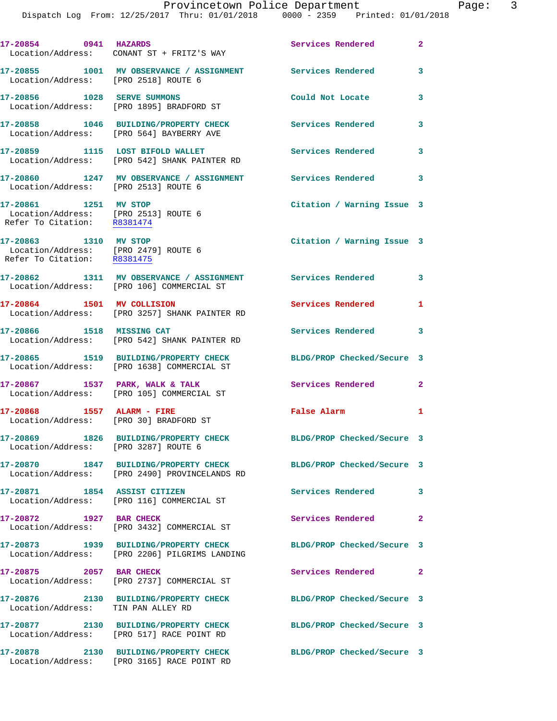Dispatch Log From: 12/25/2017 Thru: 01/01/2018 0000 - 2359 Printed: 01/01/2018

**17-20854 0941 HAZARDS Services Rendered 2**  Location/Address: CONANT ST + FRITZ'S WAY **17-20855 1001 MV OBSERVANCE / ASSIGNMENT Services Rendered 3**  Location/Address: [PRO 2518] ROUTE 6 **17-20856 1028 SERVE SUMMONS Could Not Locate 3**  Location/Address: [PRO 1895] BRADFORD ST **17-20858 1046 BUILDING/PROPERTY CHECK Services Rendered 3**  Location/Address: [PRO 564] BAYBERRY AVE **17-20859 1115 LOST BIFOLD WALLET Services Rendered 3**  Location/Address: [PRO 542] SHANK PAINTER RD **17-20860 1247 MV OBSERVANCE / ASSIGNMENT Services Rendered 3**  Location/Address: [PRO 2513] ROUTE 6 **17-20861 1251 MV STOP Citation / Warning Issue 3**  Location/Address: [PRO 2513] ROUTE 6 Refer To Citation: R8381474 **17-20863 1310 MV STOP Citation / Warning Issue 3**  Location/Address: [PRO 2479] ROUTE 6 Refer To Citation: R8381475 **17-20862 1311 MV OBSERVANCE / ASSIGNMENT Services Rendered 3**  Location/Address: [PRO 106] COMMERCIAL ST **17-20864 1501 MV COLLISION Services Rendered 1**  Location/Address: [PRO 3257] SHANK PAINTER RD **17-20866 1518 MISSING CAT Services Rendered 3**  Location/Address: [PRO 542] SHANK PAINTER RD **17-20865 1519 BUILDING/PROPERTY CHECK BLDG/PROP Checked/Secure 3**  Location/Address: [PRO 1638] COMMERCIAL ST 17-20867 1537 PARK, WALK & TALK **Services Rendered** 2 Location/Address: [PRO 105] COMMERCIAL ST **17-20868 1557 ALARM - FIRE False Alarm 1**  Location/Address: [PRO 30] BRADFORD ST **17-20869 1826 BUILDING/PROPERTY CHECK BLDG/PROP Checked/Secure 3**  Location/Address: [PRO 3287] ROUTE 6 **17-20870 1847 BUILDING/PROPERTY CHECK BLDG/PROP Checked/Secure 3**  Location/Address: [PRO 2490] PROVINCELANDS RD **17-20871 1854 ASSIST CITIZEN Services Rendered 3**  Location/Address: [PRO 116] COMMERCIAL ST **17-20872 1927 BAR CHECK Services Rendered 2**  Location/Address: [PRO 3432] COMMERCIAL ST **17-20873 1939 BUILDING/PROPERTY CHECK BLDG/PROP Checked/Secure 3**  Location/Address: [PRO 2206] PILGRIMS LANDING **17-20875 2057 BAR CHECK Services Rendered 2**  Location/Address: [PRO 2737] COMMERCIAL ST **17-20876 2130 BUILDING/PROPERTY CHECK BLDG/PROP Checked/Secure 3**  Location/Address: TIN PAN ALLEY RD **17-20877 2130 BUILDING/PROPERTY CHECK BLDG/PROP Checked/Secure 3**  Location/Address: [PRO 517] RACE POINT RD **17-20878 2130 BUILDING/PROPERTY CHECK BLDG/PROP Checked/Secure 3**  Location/Address: [PRO 3165] RACE POINT RD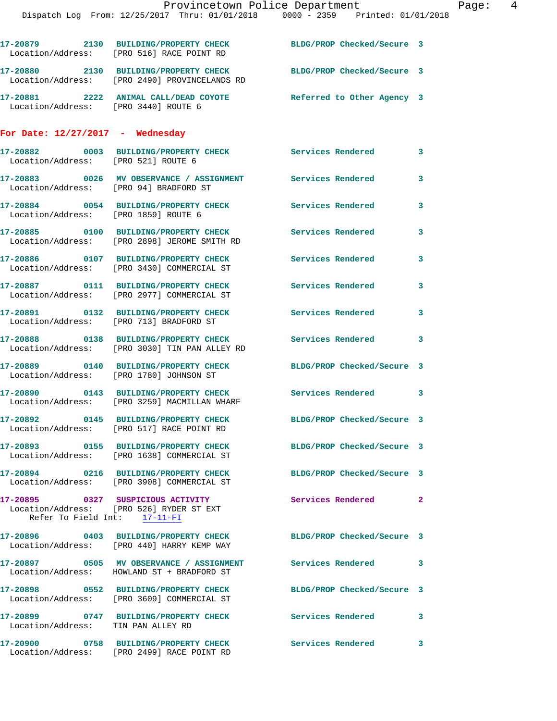|                                         | 17-20879 2130 BUILDING/PROPERTY CHECK<br>Location/Address: [PRO 516] RACE POINT RD                                | BLDG/PROP Checked/Secure 3 |                |
|-----------------------------------------|-------------------------------------------------------------------------------------------------------------------|----------------------------|----------------|
|                                         | 17-20880 2130 BUILDING/PROPERTY CHECK BLDG/PROP Checked/Secure 3<br>Location/Address: [PRO 2490] PROVINCELANDS RD |                            |                |
| Location/Address: [PRO 3440] ROUTE 6    | 17-20881 2222 ANIMAL CALL/DEAD COYOTE Referred to Other Agency 3                                                  |                            |                |
| For Date: $12/27/2017$ - Wednesday      |                                                                                                                   |                            |                |
| Location/Address: [PRO 521] ROUTE 6     | 17-20882 0003 BUILDING/PROPERTY CHECK Services Rendered                                                           |                            | 3              |
| Location/Address: [PRO 94] BRADFORD ST  | 17-20883 6026 MV OBSERVANCE / ASSIGNMENT Services Rendered                                                        |                            | 3              |
| Location/Address: [PRO 1859] ROUTE 6    | 17-20884 0054 BUILDING/PROPERTY CHECK                                                                             | Services Rendered          | 3              |
|                                         | 17-20885 0100 BUILDING/PROPERTY CHECK<br>Location/Address: [PRO 2898] JEROME SMITH RD                             | Services Rendered          | 3              |
|                                         | 17-20886 0107 BUILDING/PROPERTY CHECK<br>Location/Address: [PRO 3430] COMMERCIAL ST                               | Services Rendered          | 3              |
|                                         | 17-20887 0111 BUILDING/PROPERTY CHECK<br>Location/Address: [PRO 2977] COMMERCIAL ST                               | Services Rendered          | 3              |
|                                         | 17-20891 0132 BUILDING/PROPERTY CHECK<br>Location/Address: [PRO 713] BRADFORD ST                                  | Services Rendered          | 3              |
|                                         | 17-20888 0138 BUILDING/PROPERTY CHECK<br>Location/Address: [PRO 3030] TIN PAN ALLEY RD                            | <b>Services Rendered</b>   | 3              |
| Location/Address: [PRO 1780] JOHNSON ST | 17-20889 0140 BUILDING/PROPERTY CHECK                                                                             | BLDG/PROP Checked/Secure 3 |                |
|                                         | 17-20890 0143 BUILDING/PROPERTY CHECK<br>Location/Address: [PRO 3259] MACMILLAN WHARF                             | Services Rendered          | 3              |
| 17-20892                                | 0145 BUILDING/PROPERTY CHECK<br>Location/Address: [PRO 517] RACE POINT RD                                         | BLDG/PROP Checked/Secure 3 |                |
|                                         | 17-20893 0155 BUILDING/PROPERTY CHECK<br>Location/Address: [PRO 1638] COMMERCIAL ST                               | BLDG/PROP Checked/Secure 3 |                |
|                                         | 17-20894 0216 BUILDING/PROPERTY CHECK<br>Location/Address: [PRO 3908] COMMERCIAL ST                               | BLDG/PROP Checked/Secure 3 |                |
| Refer To Field Int: 17-11-FI            | 17-20895  0327 SUSPICIOUS ACTIVITY<br>Location/Address: [PRO 526] RYDER ST EXT                                    | Services Rendered          | $\overline{2}$ |
|                                         | 17-20896 0403 BUILDING/PROPERTY CHECK BLDG/PROP Checked/Secure 3<br>Location/Address: [PRO 440] HARRY KEMP WAY    |                            |                |
|                                         | 17-20897 0505 MV OBSERVANCE / ASSIGNMENT<br>Location/Address: HOWLAND ST + BRADFORD ST                            | <b>Services Rendered</b>   | 3              |
|                                         | 17-20898 0552 BUILDING/PROPERTY CHECK<br>Location/Address: [PRO 3609] COMMERCIAL ST                               | BLDG/PROP Checked/Secure 3 |                |
| Location/Address: TIN PAN ALLEY RD      | 17-20899 0747 BUILDING/PROPERTY CHECK Services Rendered                                                           |                            | 3              |
|                                         | 17-20900 0758 BUILDING/PROPERTY CHECK Services Rendered<br>Location/Address: [PRO 2499] RACE POINT RD             |                            | 3              |
|                                         |                                                                                                                   |                            |                |
|                                         |                                                                                                                   |                            |                |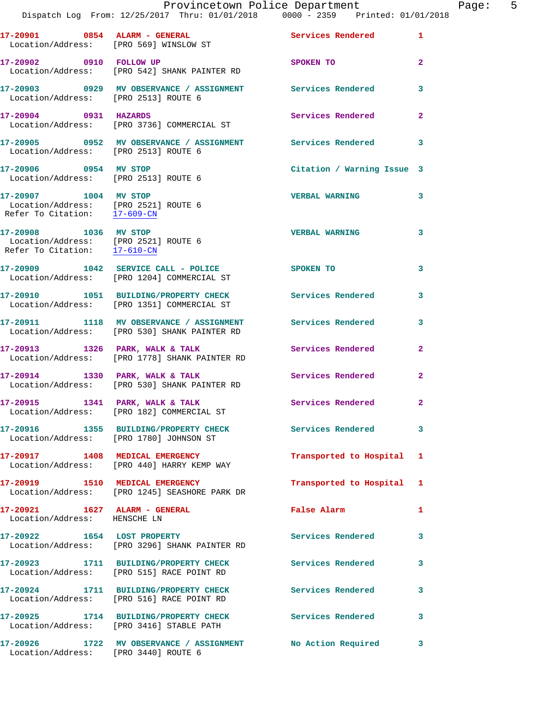| $17-20901$ 0854 ALARM - GENERAL                                                                                          | Location/Address: [PRO 569] WINSLOW ST                                                               | Services Rendered          | $\mathbf{1}$            |
|--------------------------------------------------------------------------------------------------------------------------|------------------------------------------------------------------------------------------------------|----------------------------|-------------------------|
|                                                                                                                          | 17-20902 0910 FOLLOW UP<br>Location/Address: [PRO 542] SHANK PAINTER RD                              | SPOKEN TO                  | $\overline{2}$          |
| Location/Address: [PRO 2513] ROUTE 6                                                                                     | 17-20903 0929 MV OBSERVANCE / ASSIGNMENT Services Rendered                                           |                            | $\overline{\mathbf{3}}$ |
| 17-20904 0931 HAZARDS                                                                                                    | Location/Address: [PRO 3736] COMMERCIAL ST                                                           | Services Rendered          | $\overline{2}$          |
| Location/Address: [PRO 2513] ROUTE 6                                                                                     | 17-20905 0952 MV OBSERVANCE / ASSIGNMENT Services Rendered                                           |                            | 3                       |
| 17-20906 0954 MV STOP<br>Location/Address: [PRO 2513] ROUTE 6                                                            |                                                                                                      | Citation / Warning Issue 3 |                         |
| 17-20907 1004 MV STOP<br>Location/Address: [PRO 2521] ROUTE 6<br>Refer To Citation: $\frac{17-609-CN}{\sqrt{17-609-CN}}$ |                                                                                                      | <b>VERBAL WARNING</b>      | $\overline{\mathbf{3}}$ |
| 17-20908 1036 MV STOP<br>Location/Address: [PRO 2521] ROUTE 6<br>Refer To Citation: 17-610-CN                            |                                                                                                      | <b>VERBAL WARNING</b>      | $\overline{\mathbf{3}}$ |
|                                                                                                                          | 17-20909 1042 SERVICE CALL - POLICE<br>Location/Address: [PRO 1204] COMMERCIAL ST                    | SPOKEN TO                  | 3                       |
|                                                                                                                          | 17-20910 1051 BUILDING/PROPERTY CHECK<br>Location/Address: [PRO 1351] COMMERCIAL ST                  | <b>Services Rendered</b>   | $\mathbf{3}$            |
|                                                                                                                          | 17-20911 1118 MV OBSERVANCE / ASSIGNMENT<br>Location/Address: [PRO 530] SHANK PAINTER RD             | <b>Services Rendered</b>   | 3                       |
|                                                                                                                          | 17-20913 1326 PARK, WALK & TALK<br>Location/Address: [PRO 1778] SHANK PAINTER RD                     | <b>Services Rendered</b>   | $\overline{2}$          |
|                                                                                                                          | 17-20914 1330 PARK, WALK & TALK<br>Location/Address: [PRO 530] SHANK PAINTER RD                      | <b>Services Rendered</b>   | $\overline{2}$          |
|                                                                                                                          | 17-20915 1341 PARK, WALK & TALK<br>Location/Address: [PRO 182] COMMERCIAL ST                         | <b>Services Rendered</b>   | $\mathbf{2}$            |
|                                                                                                                          | 17-20916 1355 BUILDING/PROPERTY CHECK Services Rendered 3<br>Location/Address: [PRO 1780] JOHNSON ST |                            |                         |
|                                                                                                                          | 17-20917 1408 MEDICAL EMERGENCY<br>Location/Address: [PRO 440] HARRY KEMP WAY                        | Transported to Hospital 1  |                         |
|                                                                                                                          | 17-20919 1510 MEDICAL EMERGENCY<br>Location/Address: [PRO 1245] SEASHORE PARK DR                     | Transported to Hospital 1  |                         |
| 17-20921 1627 ALARM - GENERAL<br>Location/Address: HENSCHE LN                                                            |                                                                                                      | False Alarm                | 1                       |
| 17-20922 1654 LOST PROPERTY                                                                                              | Location/Address: [PRO 3296] SHANK PAINTER RD                                                        | <b>Services Rendered</b>   | 3                       |
|                                                                                                                          | 17-20923 1711 BUILDING/PROPERTY CHECK<br>Location/Address: [PRO 515] RACE POINT RD                   | Services Rendered          | 3                       |
|                                                                                                                          | 17-20924 1711 BUILDING/PROPERTY CHECK<br>Location/Address: [PRO 516] RACE POINT RD                   | <b>Services Rendered</b>   | 3                       |
|                                                                                                                          | 17-20925 1714 BUILDING/PROPERTY CHECK<br>Location/Address: [PRO 3416] STABLE PATH                    | <b>Services Rendered</b>   | 3                       |
|                                                                                                                          | 17-20926 1722 MV OBSERVANCE / ASSIGNMENT No Action Required 3                                        |                            |                         |

Location/Address: [PRO 3440] ROUTE 6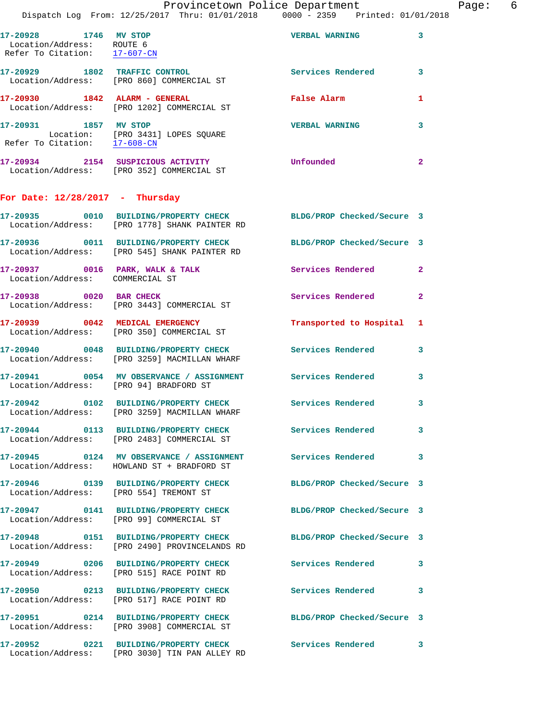|                                                                                    | Dispatch Log From: 12/25/2017 Thru: 01/01/2018 0000 - 2359 Printed: 01/01/2018                                    | Provincetown Police Department | Page: 6      |
|------------------------------------------------------------------------------------|-------------------------------------------------------------------------------------------------------------------|--------------------------------|--------------|
| 17-20928 1746 MV STOP<br>Location/Address: ROUTE 6<br>Refer To Citation: 17-607-CN |                                                                                                                   | <b>VERBAL WARNING</b>          | 3            |
|                                                                                    | 17-20929 1802 TRAFFIC CONTROL<br>Location/Address: [PRO 860] COMMERCIAL ST                                        | Services Rendered              | $\mathbf{3}$ |
|                                                                                    | 17-20930 1842 ALARM - GENERAL<br>Location/Address: [PRO 1202] COMMERCIAL ST                                       | False Alarm                    | 1            |
| 17-20931 1857 MV STOP                                                              | Location: [PRO 3431] LOPES SQUARE<br>Refer To Citation: $\frac{17-608-CN}{\sqrt{17}}$                             | <b>VERBAL WARNING</b>          | 3            |
|                                                                                    | 17-20934 2154 SUSPICIOUS ACTIVITY Unfounded<br>Location/Address: [PRO 352] COMMERCIAL ST                          |                                | $\mathbf{2}$ |
| For Date: $12/28/2017$ - Thursday                                                  |                                                                                                                   |                                |              |
|                                                                                    | 17-20935 0010 BUILDING/PROPERTY CHECK BLDG/PROP Checked/Secure 3<br>Location/Address: [PRO 1778] SHANK PAINTER RD |                                |              |
|                                                                                    | 17-20936 0011 BUILDING/PROPERTY CHECK BLDG/PROP Checked/Secure 3<br>Location/Address: [PRO 545] SHANK PAINTER RD  |                                |              |
| Location/Address: COMMERCIAL ST                                                    | 17-20937 0016 PARK, WALK & TALK Services Rendered                                                                 |                                | $\mathbf{2}$ |
|                                                                                    | 17-20938 0020 BAR CHECK<br>Location/Address: [PRO 3443] COMMERCIAL ST                                             | Services Rendered              | $\mathbf{2}$ |
|                                                                                    | 17-20939 0042 MEDICAL EMERGENCY<br>Location/Address: [PRO 350] COMMERCIAL ST                                      | Transported to Hospital 1      |              |
|                                                                                    | 17-20940 0048 BUILDING/PROPERTY CHECK<br>Location/Address: [PRO 3259] MACMILLAN WHARF                             | <b>Services Rendered</b>       | $\mathbf{3}$ |
| Location/Address: [PRO 94] BRADFORD ST                                             | 17-20941 0054 MV OBSERVANCE / ASSIGNMENT Services Rendered                                                        |                                | 3            |
|                                                                                    | 17-20942  0102 BUILDING/PROPERTY CHECK Services Rendered 3<br>Location/Address: [PRO 3259] MACMILLAN WHARF        |                                |              |
|                                                                                    | 17-20944 0113 BUILDING/PROPERTY CHECK Services Rendered 3<br>Location/Address: [PRO 2483] COMMERCIAL ST           |                                |              |
|                                                                                    | 17-20945 0124 MV OBSERVANCE / ASSIGNMENT Services Rendered<br>Location/Address: HOWLAND ST + BRADFORD ST          |                                | 3            |
|                                                                                    | 17-20946 0139 BUILDING/PROPERTY CHECK BLDG/PROP Checked/Secure 3<br>Location/Address: [PRO 554] TREMONT ST        |                                |              |
|                                                                                    | 17-20947 0141 BUILDING/PROPERTY CHECK BLDG/PROP Checked/Secure 3<br>Location/Address: [PRO 99] COMMERCIAL ST      |                                |              |
|                                                                                    | 17-20948 0151 BUILDING/PROPERTY CHECK BLDG/PROP Checked/Secure 3<br>Location/Address: [PRO 2490] PROVINCELANDS RD |                                |              |
|                                                                                    | 17-20949 0206 BUILDING/PROPERTY CHECK Services Rendered<br>Location/Address: [PRO 515] RACE POINT RD              |                                | $\mathbf{3}$ |
|                                                                                    | 17-20950 0213 BUILDING/PROPERTY CHECK Services Rendered<br>Location/Address: [PRO 517] RACE POINT RD              |                                | 3            |
|                                                                                    | 17-20951 0214 BUILDING/PROPERTY CHECK<br>Location/Address: [PRO 3908] COMMERCIAL ST                               | BLDG/PROP Checked/Secure 3     |              |
|                                                                                    | 17-20952 0221 BUILDING/PROPERTY CHECK Services Rendered<br>Location/Address: [PRO 3030] TIN PAN ALLEY RD          |                                | 3            |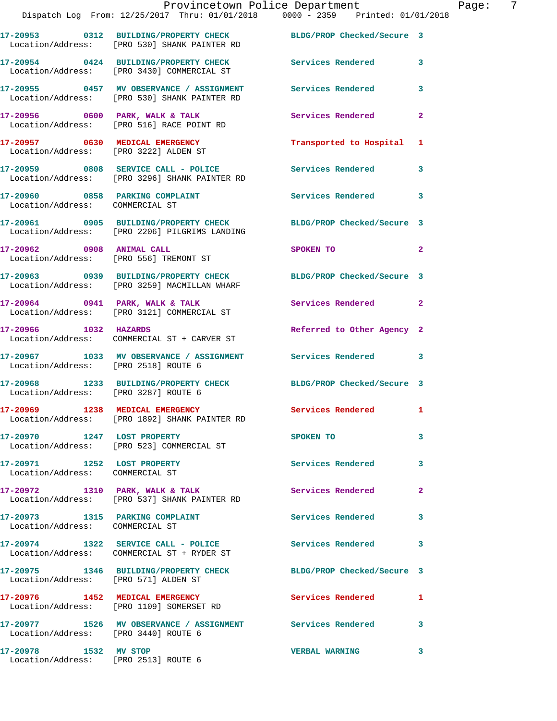|                                                                | Provincetown Police Department Page: 7<br>Dispatch Log From: 12/25/2017 Thru: 01/01/2018   0000 - 2359   Printed: 01/01/2018 |                            |              |  |
|----------------------------------------------------------------|------------------------------------------------------------------------------------------------------------------------------|----------------------------|--------------|--|
|                                                                | 17-20953 0312 BUILDING/PROPERTY CHECK BLDG/PROP Checked/Secure 3<br>Location/Address: [PRO 530] SHANK PAINTER RD             |                            |              |  |
|                                                                | 17-20954 0424 BUILDING/PROPERTY CHECK Services Rendered 3<br>Location/Address: [PRO 3430] COMMERCIAL ST                      |                            |              |  |
|                                                                | 17-20955 0457 MV OBSERVANCE / ASSIGNMENT Services Rendered<br>Location/Address: [PRO 530] SHANK PAINTER RD                   |                            | 3            |  |
|                                                                | 17-20956 0600 PARK, WALK & TALK 1988 Services Rendered<br>Location/Address: [PRO 516] RACE POINT RD                          |                            | $\mathbf{2}$ |  |
|                                                                | 17-20957 0630 MEDICAL EMERGENCY<br>Location/Address: [PRO 3222] ALDEN ST                                                     | Transported to Hospital 1  |              |  |
|                                                                | 17-20959 0808 SERVICE CALL - POLICE Services Rendered<br>Location/Address: [PRO 3296] SHANK PAINTER RD                       |                            | $\mathbf{3}$ |  |
| Location/Address: COMMERCIAL ST                                | 17-20960 0858 PARKING COMPLAINT                                                                                              | Services Rendered          | 3            |  |
|                                                                | 17-20961 0905 BUILDING/PROPERTY CHECK BLDG/PROP Checked/Secure 3<br>Location/Address: [PRO 2206] PILGRIMS LANDING            |                            |              |  |
|                                                                | 17-20962 0908 ANIMAL CALL<br>Location/Address: [PRO 556] TREMONT ST                                                          | SPOKEN TO                  | $\mathbf{2}$ |  |
|                                                                | 17-20963 0939 BUILDING/PROPERTY CHECK BLDG/PROP Checked/Secure 3<br>Location/Address: [PRO 3259] MACMILLAN WHARF             |                            |              |  |
|                                                                | $17-20964$ 0941 PARK, WALK & TALK<br>Location/Address: [PRO 3121] COMMERCIAL ST                                              | Services Rendered 2        |              |  |
| 17-20966 1032 HAZARDS                                          | Location/Address: COMMERCIAL ST + CARVER ST                                                                                  | Referred to Other Agency 2 |              |  |
| Location/Address: [PRO 2518] ROUTE 6                           | 17-20967 1033 MV OBSERVANCE / ASSIGNMENT Services Rendered 3                                                                 |                            |              |  |
| Location/Address: [PRO 3287] ROUTE 6                           | 17-20968 1233 BUILDING/PROPERTY CHECK BLDG/PROP Checked/Secure 3                                                             |                            |              |  |
|                                                                | 17-20969 1238 MEDICAL EMERGENCY<br>Location/Address: [PRO 1892] SHANK PAINTER RD                                             | Services Rendered 1        |              |  |
| 17-20970 1247 LOST PROPERTY                                    | Location/Address: [PRO 523] COMMERCIAL ST                                                                                    | SPOKEN TO                  | 3            |  |
| 17-20971 1252 LOST PROPERTY<br>Location/Address: COMMERCIAL ST |                                                                                                                              | <b>Services Rendered</b>   | 3            |  |
|                                                                | 17-20972 1310 PARK, WALK & TALK<br>Location/Address: [PRO 537] SHANK PAINTER RD                                              | Services Rendered          | $\mathbf{2}$ |  |
| Location/Address: COMMERCIAL ST                                | 17-20973 1315 PARKING COMPLAINT                                                                                              | Services Rendered 3        |              |  |
|                                                                | 17-20974 1322 SERVICE CALL - POLICE Services Rendered<br>Location/Address: COMMERCIAL ST + RYDER ST                          |                            | 3            |  |
| Location/Address: [PRO 571] ALDEN ST                           | 17-20975 1346 BUILDING/PROPERTY CHECK BLDG/PROP Checked/Secure 3                                                             |                            |              |  |
|                                                                | 17-20976 1452 MEDICAL EMERGENCY Services Rendered 1<br>Location/Address: [PRO 1109] SOMERSET RD                              |                            |              |  |
| Location/Address: [PRO 3440] ROUTE 6                           | 17-20977 1526 MV OBSERVANCE / ASSIGNMENT Services Rendered 3                                                                 |                            |              |  |
|                                                                |                                                                                                                              | <b>VERBAL WARNING</b>      | 3            |  |

Location/Address: [PRO 2513] ROUTE 6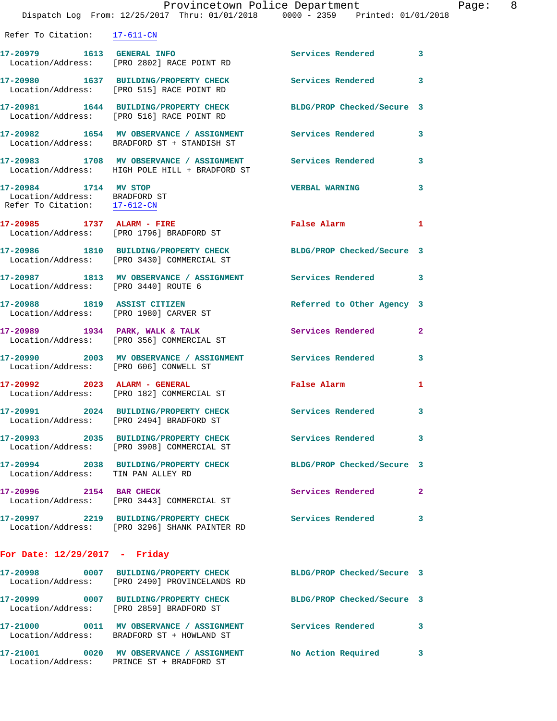|                                                                                                    | Dispatch Log From: 12/25/2017 Thru: 01/01/2018 0000 - 2359 Printed: 01/01/2018                                    | Provincetown Police Department                      | Page: 8      |
|----------------------------------------------------------------------------------------------------|-------------------------------------------------------------------------------------------------------------------|-----------------------------------------------------|--------------|
| Refer To Citation: 17-611-CN                                                                       |                                                                                                                   |                                                     |              |
|                                                                                                    | 17-20979   1613   GENERAL INFO<br>Location/Address: [PRO 2802] RACE POINT RD                                      | Services Rendered 3                                 |              |
|                                                                                                    | 17-20980 1637 BUILDING/PROPERTY CHECK Services Rendered<br>Location/Address: [PRO 515] RACE POINT RD              |                                                     | 3            |
|                                                                                                    | 17-20981 1644 BUILDING/PROPERTY CHECK BLDG/PROP Checked/Secure 3<br>Location/Address: [PRO 516] RACE POINT RD     |                                                     |              |
|                                                                                                    | 17-20982 1654 MV OBSERVANCE / ASSIGNMENT Services Rendered<br>Location/Address: BRADFORD ST + STANDISH ST         |                                                     | $\mathbf{3}$ |
|                                                                                                    | 17-20983 1708 MV OBSERVANCE / ASSIGNMENT Services Rendered 3<br>Location/Address: HIGH POLE HILL + BRADFORD ST    |                                                     |              |
| 17-20984 1714 MV STOP<br>Location/Address: BRADFORD ST<br>Refer To Citation: $\frac{17-612-CN}{2}$ |                                                                                                                   | <b>VERBAL WARNING</b>                               | 3            |
|                                                                                                    | 17-20985 1737 ALARM - FIRE<br>Location/Address: [PRO 1796] BRADFORD ST                                            | False Alarm <b>Example 2</b>                        | 1            |
|                                                                                                    | 17-20986 1810 BUILDING/PROPERTY CHECK BLDG/PROP Checked/Secure 3<br>Location/Address: [PRO 3430] COMMERCIAL ST    |                                                     |              |
| Location/Address: [PRO 3440] ROUTE 6                                                               | 17-20987 1813 MV OBSERVANCE / ASSIGNMENT Services Rendered                                                        |                                                     | 3            |
|                                                                                                    | 17-20988 1819 ASSIST CITIZEN<br>Location/Address: [PRO 1980] CARVER ST                                            | Referred to Other Agency 3                          |              |
|                                                                                                    | 17-20989 1934 PARK, WALK & TALK<br>Location/Address: [PRO 356] COMMERCIAL ST                                      | Services Rendered                                   | $\mathbf{2}$ |
|                                                                                                    | 17-20990 2003 MV OBSERVANCE / ASSIGNMENT Services Rendered 3<br>Location/Address: [PRO 606] CONWELL ST            |                                                     |              |
|                                                                                                    | 17-20992 2023 ALARM - GENERAL<br>Location/Address: [PRO 182] COMMERCIAL ST                                        | False Alarm <b>Exercise Service Service Service</b> | 1            |
|                                                                                                    | 17-20991 2024 BUILDING/PROPERTY CHECK<br>Location/Address: [PRO 2494] BRADFORD ST                                 | Services Rendered                                   |              |
|                                                                                                    | 17-20993 2035 BUILDING/PROPERTY CHECK Services Rendered<br>Location/Address: [PRO 3908] COMMERCIAL ST             |                                                     | 3            |
|                                                                                                    | 17-20994 2038 BUILDING/PROPERTY CHECK BLDG/PROP Checked/Secure 3 Location/Address: TIN PAN ALLEY RD               |                                                     |              |
|                                                                                                    | 17-20996 2154 BAR CHECK<br>Location/Address: [PRO 3443] COMMERCIAL ST                                             | Services Rendered                                   | $\mathbf{2}$ |
|                                                                                                    | 17-20997 2219 BUILDING/PROPERTY CHECK Services Rendered<br>Location/Address: [PRO 3296] SHANK PAINTER RD          |                                                     | 3            |
| For Date: $12/29/2017$ - Friday                                                                    |                                                                                                                   |                                                     |              |
|                                                                                                    | 17-20998 0007 BUILDING/PROPERTY CHECK BLDG/PROP Checked/Secure 3<br>Location/Address: [PRO 2490] PROVINCELANDS RD |                                                     |              |
|                                                                                                    | 17-20999 0007 BUILDING/PROPERTY CHECK BLDG/PROP Checked/Secure 3<br>Location/Address: [PRO 2859] BRADFORD ST      |                                                     |              |
|                                                                                                    | 17-21000 0011 MV OBSERVANCE / ASSIGNMENT Services Rendered 3<br>Location/Address: BRADFORD ST + HOWLAND ST        |                                                     |              |
|                                                                                                    | 17-21001 0020 MV OBSERVANCE / ASSIGNMENT                                                                          | No Action Required                                  | 3            |

Location/Address: PRINCE ST + BRADFORD ST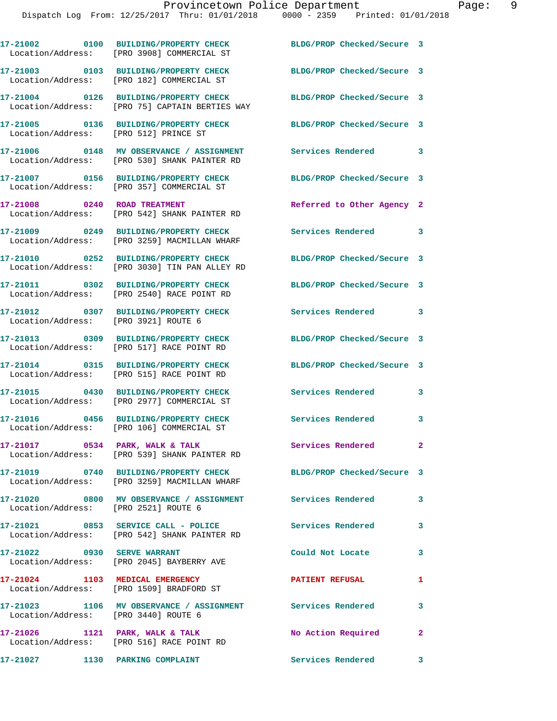|                                       | 17-21002 0100 BUILDING/PROPERTY CHECK<br>Location/Address: [PRO 3908] COMMERCIAL ST                              | BLDG/PROP Checked/Secure 3 |                            |
|---------------------------------------|------------------------------------------------------------------------------------------------------------------|----------------------------|----------------------------|
|                                       | 17-21003 0103 BUILDING/PROPERTY CHECK<br>Location/Address: [PRO 182] COMMERCIAL ST                               | BLDG/PROP Checked/Secure 3 |                            |
|                                       | 17-21004 0126 BUILDING/PROPERTY CHECK<br>Location/Address: [PRO 75] CAPTAIN BERTIES WAY                          | BLDG/PROP Checked/Secure 3 |                            |
| Location/Address: [PRO 512] PRINCE ST | 17-21005 0136 BUILDING/PROPERTY CHECK                                                                            | BLDG/PROP Checked/Secure 3 |                            |
|                                       | 17-21006 0148 MV OBSERVANCE / ASSIGNMENT<br>Location/Address: [PRO 530] SHANK PAINTER RD                         | <b>Services Rendered</b>   | $\overline{\phantom{a}}$ 3 |
|                                       | 17-21007 0156 BUILDING/PROPERTY CHECK<br>Location/Address: [PRO 357] COMMERCIAL ST                               | BLDG/PROP Checked/Secure 3 |                            |
| 17-21008 0240 ROAD TREATMENT          | Location/Address: [PRO 542] SHANK PAINTER RD                                                                     | Referred to Other Agency 2 |                            |
|                                       | 17-21009 0249 BUILDING/PROPERTY CHECK<br>Location/Address: [PRO 3259] MACMILLAN WHARF                            | Services Rendered 3        |                            |
|                                       | 17-21010 0252 BUILDING/PROPERTY CHECK<br>Location/Address: [PRO 3030] TIN PAN ALLEY RD                           | BLDG/PROP Checked/Secure 3 |                            |
|                                       | 17-21011 0302 BUILDING/PROPERTY CHECK<br>Location/Address: [PRO 2540] RACE POINT RD                              | BLDG/PROP Checked/Secure 3 |                            |
| Location/Address: [PRO 3921] ROUTE 6  | 17-21012 0307 BUILDING/PROPERTY CHECK                                                                            | Services Rendered 3        |                            |
|                                       | 17-21013 0309 BUILDING/PROPERTY CHECK<br>Location/Address: [PRO 517] RACE POINT RD                               | BLDG/PROP Checked/Secure 3 |                            |
|                                       | 17-21014 0315 BUILDING/PROPERTY CHECK<br>Location/Address: [PRO 515] RACE POINT RD                               | BLDG/PROP Checked/Secure 3 |                            |
|                                       | 17-21015 0430 BUILDING/PROPERTY CHECK<br>Location/Address: [PRO 2977] COMMERCIAL ST                              | Services Rendered          | 3                          |
|                                       | 17-21016 0456 BUILDING/PROPERTY CHECK<br>Location/Address: [PRO 106] COMMERCIAL ST                               | <b>Services Rendered</b>   | 3                          |
|                                       | 17-21017 0534 PARK, WALK & TALK<br>Location/Address: [PRO 539] SHANK PAINTER RD                                  | Services Rendered          | $\mathbf{2}^-$             |
|                                       | 17-21019 0740 BUILDING/PROPERTY CHECK BLDG/PROP Checked/Secure 3<br>Location/Address: [PRO 3259] MACMILLAN WHARF |                            |                            |
| Location/Address: [PRO 2521] ROUTE 6  | 17-21020 0800 MV OBSERVANCE / ASSIGNMENT Services Rendered                                                       |                            | $\mathbf{3}$               |
|                                       | 17-21021 0853 SERVICE CALL - POLICE 3 Services Rendered 3<br>Location/Address: [PRO 542] SHANK PAINTER RD        |                            |                            |
|                                       | 17-21022 0930 SERVE WARRANT<br>Location/Address: [PRO 2045] BAYBERRY AVE                                         | Could Not Locate           | $\mathbf{3}$               |
|                                       | 17-21024 1103 MEDICAL EMERGENCY<br>Location/Address: [PRO 1509] BRADFORD ST                                      | <b>PATIENT REFUSAL</b>     | 1                          |
| Location/Address: [PRO 3440] ROUTE 6  | 17-21023 1106 MV OBSERVANCE / ASSIGNMENT Services Rendered                                                       |                            | $\mathbf{3}$               |
|                                       | 17-21026 1121 PARK, WALK & TALK<br>Location/Address: [PRO 516] RACE POINT RD                                     | No Action Required 2       |                            |
| 17-21027 1130 PARKING COMPLAINT       |                                                                                                                  | Services Rendered 3        |                            |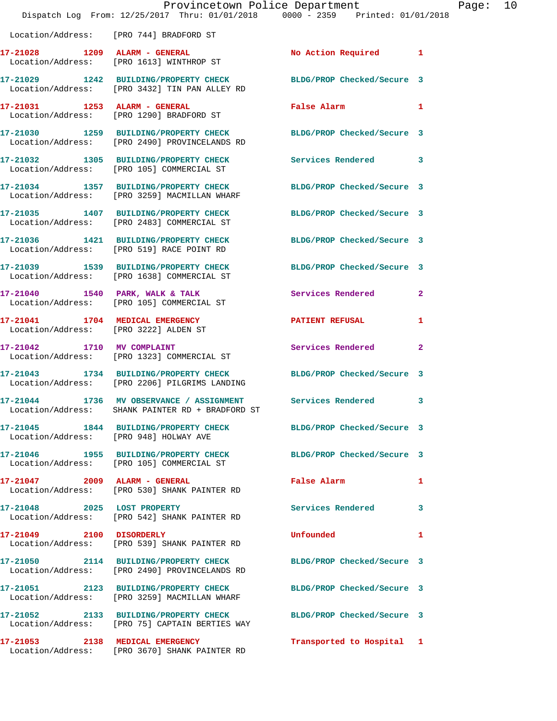|                               | Dispatch Log From: 12/25/2017 Thru: 01/01/2018 0000 - 2359 Printed: 01/01/2018                                    | Provincetown Police Department                                                                                 |              | Page: | 10 |
|-------------------------------|-------------------------------------------------------------------------------------------------------------------|----------------------------------------------------------------------------------------------------------------|--------------|-------|----|
|                               | Location/Address: [PRO 744] BRADFORD ST                                                                           |                                                                                                                |              |       |    |
|                               | 17-21028 1209 ALARM - GENERAL<br>Location/Address: [PRO 1613] WINTHROP ST                                         | No Action Required 1                                                                                           |              |       |    |
|                               | 17-21029 1242 BUILDING/PROPERTY CHECK<br>Location/Address: [PRO 3432] TIN PAN ALLEY RD                            | BLDG/PROP Checked/Secure 3                                                                                     |              |       |    |
|                               | Location/Address: [PRO 1290] BRADFORD ST                                                                          | False Alarm and the state of the state of the state of the state of the state of the state of the state of the | $\mathbf{1}$ |       |    |
|                               | 17-21030 1259 BUILDING/PROPERTY CHECK<br>Location/Address: [PRO 2490] PROVINCELANDS RD                            | BLDG/PROP Checked/Secure 3                                                                                     |              |       |    |
|                               | 17-21032 1305 BUILDING/PROPERTY CHECK Services Rendered 3<br>Location/Address: [PRO 105] COMMERCIAL ST            |                                                                                                                |              |       |    |
|                               | 17-21034 1357 BUILDING/PROPERTY CHECK<br>Location/Address: [PRO 3259] MACMILLAN WHARF                             | BLDG/PROP Checked/Secure 3                                                                                     |              |       |    |
|                               | 17-21035 1407 BUILDING/PROPERTY CHECK<br>Location/Address: [PRO 2483] COMMERCIAL ST                               | BLDG/PROP Checked/Secure 3                                                                                     |              |       |    |
|                               | 17-21036 1421 BUILDING/PROPERTY CHECK<br>Location/Address: [PRO 519] RACE POINT RD                                | BLDG/PROP Checked/Secure 3                                                                                     |              |       |    |
|                               | 17-21039 1539 BUILDING/PROPERTY CHECK BLDG/PROP Checked/Secure 3<br>Location/Address: [PRO 1638] COMMERCIAL ST    |                                                                                                                |              |       |    |
|                               | 17-21040 1540 PARK, WALK & TALK<br>Location/Address: [PRO 105] COMMERCIAL ST                                      | Services Rendered                                                                                              | 2            |       |    |
|                               | 17-21041 1704 MEDICAL EMERGENCY<br>Location/Address: [PRO 3222] ALDEN ST                                          | <b>PATIENT REFUSAL</b>                                                                                         | 1            |       |    |
|                               | 17-21042 1710 MV COMPLAINT<br>Location/Address: [PRO 1323] COMMERCIAL ST                                          | <b>Services Rendered</b>                                                                                       | $\mathbf{2}$ |       |    |
|                               | 17-21043 1734 BUILDING/PROPERTY CHECK BLDG/PROP Checked/Secure 3<br>Location/Address: [PRO 2206] PILGRIMS LANDING |                                                                                                                |              |       |    |
| Location/Address:             | 17-21044 1736 MV OBSERVANCE / ASSIGNMENT Services Rendered<br>SHANK PAINTER RD + BRADFORD ST                      |                                                                                                                | 3            |       |    |
|                               | 17-21045 1844 BUILDING/PROPERTY CHECK BLDG/PROP Checked/Secure 3<br>Location/Address: [PRO 948] HOLWAY AVE        |                                                                                                                |              |       |    |
|                               | 17-21046 1955 BUILDING/PROPERTY CHECK<br>Location/Address: [PRO 105] COMMERCIAL ST                                | BLDG/PROP Checked/Secure 3                                                                                     |              |       |    |
| 17-21047 2009 ALARM - GENERAL | Location/Address: [PRO 530] SHANK PAINTER RD                                                                      | False Alarm <b>Exercise Service Service Service</b>                                                            | $\mathbf{1}$ |       |    |
| 17-21048 2025 LOST PROPERTY   | Location/Address: [PRO 542] SHANK PAINTER RD                                                                      | <b>Services Rendered</b>                                                                                       | 3            |       |    |
| 17-21049 2100 DISORDERLY      | Location/Address: [PRO 539] SHANK PAINTER RD                                                                      | <b>Unfounded</b>                                                                                               | 1            |       |    |
|                               | 17-21050 2114 BUILDING/PROPERTY CHECK<br>Location/Address: [PRO 2490] PROVINCELANDS RD                            | BLDG/PROP Checked/Secure 3                                                                                     |              |       |    |
|                               | 17-21051 2123 BUILDING/PROPERTY CHECK BLDG/PROP Checked/Secure 3<br>Location/Address: [PRO 3259] MACMILLAN WHARF  |                                                                                                                |              |       |    |
|                               | 17-21052 2133 BUILDING/PROPERTY CHECK<br>Location/Address: [PRO 75] CAPTAIN BERTIES WAY                           | BLDG/PROP Checked/Secure 3                                                                                     |              |       |    |
|                               | 17-21053 2138 MEDICAL EMERGENCY<br>Location/Address: [PRO 3670] SHANK PAINTER RD                                  | Transported to Hospital 1                                                                                      |              |       |    |
|                               |                                                                                                                   |                                                                                                                |              |       |    |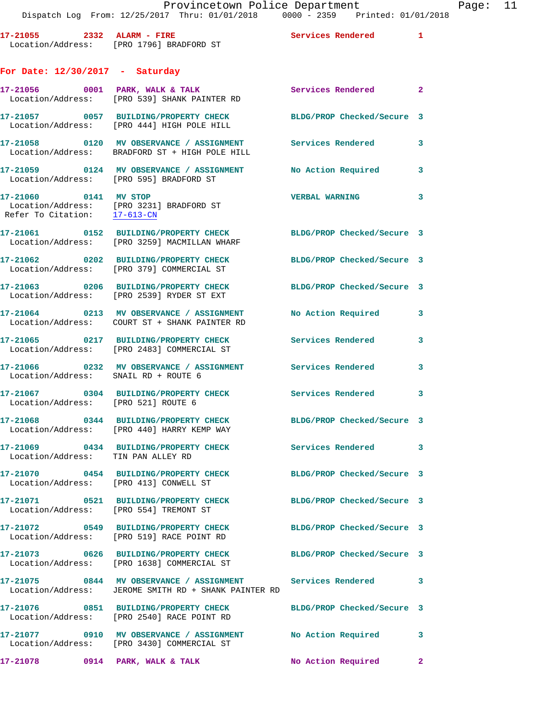| 17-21055          | $2332$ ALARM - FIRE    | <b>Services Rendered</b> |  |
|-------------------|------------------------|--------------------------|--|
| Location/Address: | [PRO 1796] BRADFORD ST |                          |  |

## **For Date: 12/30/2017 - Saturday**

|                       | $17-21056$ 0001 PARK, WALK & TALK<br>Location/Address: [PRO 539] SHANK PAINTER RD                         | Services Rendered          | $\overline{\mathbf{2}}$ |
|-----------------------|-----------------------------------------------------------------------------------------------------------|----------------------------|-------------------------|
|                       | 17-21057 0057 BUILDING/PROPERTY CHECK<br>Location/Address: [PRO 444] HIGH POLE HILL                       | BLDG/PROP Checked/Secure 3 |                         |
|                       | 17-21058 0120 MV OBSERVANCE / ASSIGNMENT<br>Location/Address: BRADFORD ST + HIGH POLE HILL                | <b>Services Rendered</b>   | 3                       |
|                       | 17-21059 0124 MV OBSERVANCE / ASSIGNMENT<br>Location/Address: [PRO 595] BRADFORD ST                       | No Action Required         | 3                       |
| 17-21060 0141 MV STOP | Location/Address: [PRO 3231] BRADFORD ST<br>Refer To Citation: $\frac{17-613-CN}{27}$                     | <b>VERBAL WARNING</b>      | 3                       |
|                       | 17-21061 0152 BUILDING/PROPERTY CHECK<br>Location/Address: [PRO 3259] MACMILLAN WHARF                     | BLDG/PROP Checked/Secure 3 |                         |
|                       | 17-21062 0202 BUILDING/PROPERTY CHECK<br>Location/Address: [PRO 379] COMMERCIAL ST                        | BLDG/PROP Checked/Secure 3 |                         |
|                       | 17-21063 0206 BUILDING/PROPERTY CHECK<br>Location/Address: [PRO 2539] RYDER ST EXT                        | BLDG/PROP Checked/Secure 3 |                         |
|                       | 17-21064 0213 MV OBSERVANCE / ASSIGNMENT<br>Location/Address: COURT ST + SHANK PAINTER RD                 | No Action Required         | 3                       |
|                       | 17-21065 0217 BUILDING/PROPERTY CHECK<br>Location/Address: [PRO 2483] COMMERCIAL ST                       | Services Rendered          | 3                       |
|                       | 17-21066 6 0232 MV OBSERVANCE / ASSIGNMENT Services Rendered<br>Location/Address: SNAIL RD + ROUTE 6      |                            | $\mathbf{3}$            |
|                       | 17-21067 0304 BUILDING/PROPERTY CHECK<br>Location/Address: [PRO 521] ROUTE 6                              | Services Rendered          | 3                       |
|                       | 17-21068 0344 BUILDING/PROPERTY CHECK<br>Location/Address: [PRO 440] HARRY KEMP WAY                       | BLDG/PROP Checked/Secure 3 |                         |
|                       | 17-21069 0434 BUILDING/PROPERTY CHECK<br>Location/Address: TIN PAN ALLEY RD                               | <b>Services Rendered</b>   | 3                       |
|                       | 17-21070 0454 BUILDING/PROPERTY CHECK<br>Location/Address: [PRO 413] CONWELL ST                           | BLDG/PROP Checked/Secure 3 |                         |
| 17-21071              | 0521 BUILDING/PROPERTY CHECK<br>Location/Address: [PRO 554] TREMONT ST                                    | BLDG/PROP Checked/Secure 3 |                         |
|                       | Location/Address: [PRO 519] RACE POINT RD                                                                 | BLDG/PROP Checked/Secure 3 |                         |
|                       | 17-21073 0626 BUILDING/PROPERTY CHECK<br>Location/Address: [PRO 1638] COMMERCIAL ST                       | BLDG/PROP Checked/Secure 3 |                         |
|                       | 17-21075 0844 MV OBSERVANCE / ASSIGNMENT<br>Location/Address: JEROME SMITH RD + SHANK PAINTER RD          | Services Rendered          | 3                       |
|                       | 17-21076 0851 BUILDING/PROPERTY CHECK<br>Location/Address: [PRO 2540] RACE POINT RD                       | BLDG/PROP Checked/Secure 3 |                         |
|                       | 17-21077 0910 MV OBSERVANCE / ASSIGNMENT No Action Required<br>Location/Address: [PRO 3430] COMMERCIAL ST |                            | 3                       |
|                       | 17-21078 0914 PARK, WALK & TALK                                                                           | No Action Required         | $\mathbf{2}$            |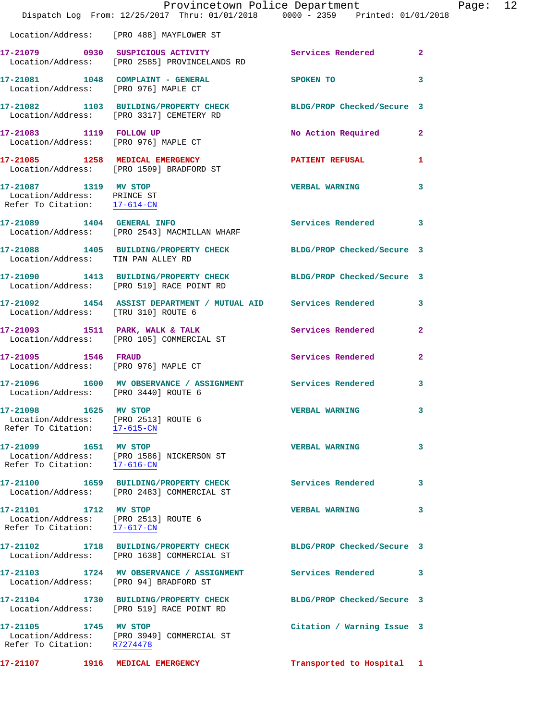|                                                                                                    |                                               | Provincetown Police Department Page: 12<br>Dispatch Log From: 12/25/2017 Thru: 01/01/2018 0000 - 2359 Printed: 01/01/2018 |              |  |
|----------------------------------------------------------------------------------------------------|-----------------------------------------------|---------------------------------------------------------------------------------------------------------------------------|--------------|--|
| Location/Address: [PRO 488] MAYFLOWER ST                                                           |                                               |                                                                                                                           |              |  |
|                                                                                                    | Location/Address: [PRO 2585] PROVINCELANDS RD | 17-21079 0930 SUSPICIOUS ACTIVITY Services Rendered 2                                                                     |              |  |
| Location/Address: [PRO 976] MAPLE CT                                                               |                                               | 17-21081 1048 COMPLAINT - GENERAL SPOKEN TO                                                                               | 3            |  |
| Location/Address: [PRO 3317] CEMETERY RD                                                           |                                               | 17-21082 1103 BUILDING/PROPERTY CHECK BLDG/PROP Checked/Secure 3                                                          |              |  |
| 17-21083 1119 FOLLOW UP<br>Location/Address: [PRO 976] MAPLE CT                                    |                                               | No Action Required 2                                                                                                      |              |  |
| Location/Address: [PRO 1509] BRADFORD ST                                                           |                                               | 17-21085 1258 MEDICAL EMERGENCY 1 PATIENT REFUSAL 1                                                                       |              |  |
| 17-21087 1319 MV STOP<br>Location/Address: PRINCE ST<br>Refer To Citation: 17-614-CN               |                                               | <b>VERBAL WARNING</b>                                                                                                     | 3            |  |
| Location/Address: [PRO 2543] MACMILLAN WHARF                                                       |                                               | 17-21089 1404 GENERAL INFO 2008 Services Rendered                                                                         | 3            |  |
| Location/Address: TIN PAN ALLEY RD                                                                 |                                               | 17-21088 1405 BUILDING/PROPERTY CHECK BLDG/PROP Checked/Secure 3                                                          |              |  |
| Location/Address: [PRO 519] RACE POINT RD                                                          |                                               | 17-21090 1413 BUILDING/PROPERTY CHECK BLDG/PROP Checked/Secure 3                                                          |              |  |
| Location/Address: [TRU 310] ROUTE 6                                                                |                                               | 17-21092 1454 ASSIST DEPARTMENT / MUTUAL AID Services Rendered 3                                                          |              |  |
| Location/Address: [PRO 105] COMMERCIAL ST                                                          |                                               | 17-21093 1511 PARK, WALK & TALK Services Rendered                                                                         | $\mathbf{2}$ |  |
| 17-21095 1546 FRAUD<br>Location/Address: [PRO 976] MAPLE CT                                        |                                               | Services Rendered                                                                                                         | $\mathbf{2}$ |  |
| Location/Address: [PRO 3440] ROUTE 6                                                               |                                               | 17-21096 1600 MV OBSERVANCE / ASSIGNMENT Services Rendered                                                                | 3            |  |
| 17-21098 1625 MV STOP<br>Location/Address: [PRO 2513] ROUTE 6<br>Refer To Citation: 17-615-CN      |                                               | <b>VERBAL WARNING</b>                                                                                                     |              |  |
| 17-21099 1651 MV STOP<br>Location/Address: [PRO 1586] NICKERSON ST<br>Refer To Citation: 17-616-CN |                                               | <b>VERBAL WARNING</b>                                                                                                     | 3            |  |
| Location/Address: [PRO 2483] COMMERCIAL ST                                                         |                                               | 17-21100 1659 BUILDING/PROPERTY CHECK Services Rendered                                                                   | 3            |  |
| 17-21101 1712 MV STOP<br>Location/Address: [PRO 2513] ROUTE 6<br>Refer To Citation: 17-617-CN      |                                               | <b>VERBAL WARNING</b>                                                                                                     | 3            |  |
| Location/Address: [PRO 1638] COMMERCIAL ST                                                         |                                               | 17-21102 1718 BUILDING/PROPERTY CHECK BLDG/PROP Checked/Secure 3                                                          |              |  |
| Location/Address: [PRO 94] BRADFORD ST                                                             |                                               | 17-21103 1724 MV OBSERVANCE / ASSIGNMENT Services Rendered                                                                | 3            |  |
| 17-21104 1730 BUILDING/PROPERTY CHECK<br>Location/Address: [PRO 519] RACE POINT RD                 |                                               | BLDG/PROP Checked/Secure 3                                                                                                |              |  |
| 17-21105 1745 MV STOP<br>Location/Address: [PRO 3949] COMMERCIAL ST<br>Refer To Citation: R7274478 |                                               | Citation / Warning Issue 3                                                                                                |              |  |
| 17-21107 1916 MEDICAL EMERGENCY                                                                    |                                               | Transported to Hospital 1                                                                                                 |              |  |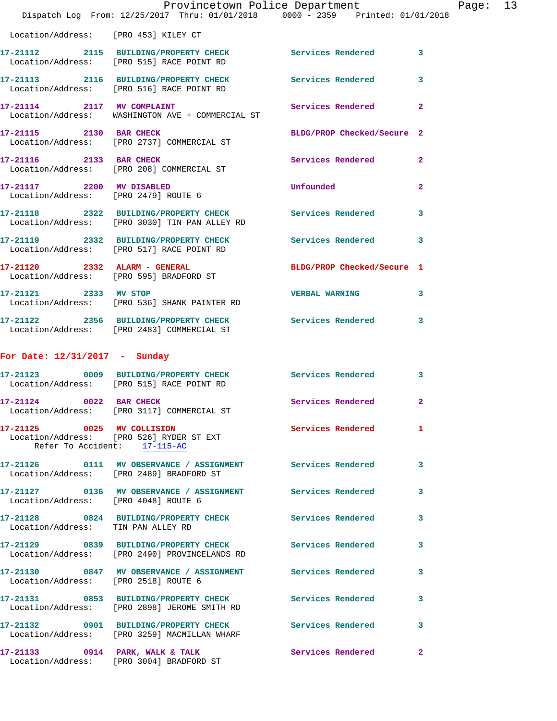|                                                                   | Provincetown Police Department                                                                             |                            |                |
|-------------------------------------------------------------------|------------------------------------------------------------------------------------------------------------|----------------------------|----------------|
|                                                                   | Dispatch Log From: 12/25/2017 Thru: 01/01/2018 0000 - 2359 Printed: 01/01/2018                             |                            |                |
|                                                                   | Location/Address: [PRO 453] KILEY CT                                                                       |                            |                |
|                                                                   | 17-21112 2115 BUILDING/PROPERTY CHECK<br>Location/Address: [PRO 515] RACE POINT RD                         | Services Rendered          | 3              |
|                                                                   | 17-21113 2116 BUILDING/PROPERTY CHECK<br>Location/Address: [PRO 516] RACE POINT RD                         | <b>Services Rendered</b>   | 3              |
| 17-21114 2117 MV COMPLAINT                                        | Location/Address: WASHINGTON AVE + COMMERCIAL ST                                                           | Services Rendered          | $\overline{2}$ |
| 17-21115 2130 BAR CHECK                                           | Location/Address: [PRO 2737] COMMERCIAL ST                                                                 | BLDG/PROP Checked/Secure 2 |                |
| 17-21116 2133 BAR CHECK                                           | Location/Address: [PRO 208] COMMERCIAL ST                                                                  | Services Rendered          | $\mathbf{2}$   |
| 17-21117 2200 MV DISABLED<br>Location/Address: [PRO 2479] ROUTE 6 |                                                                                                            | Unfounded                  | $\mathbf{2}$   |
|                                                                   | 17-21118 2322 BUILDING/PROPERTY CHECK<br>Location/Address: [PRO 3030] TIN PAN ALLEY RD                     | <b>Services Rendered</b>   | 3              |
|                                                                   | 17-21119 2332 BUILDING/PROPERTY CHECK<br>Location/Address: [PRO 517] RACE POINT RD                         | <b>Services Rendered</b>   | 3              |
| 17-21120 2332 ALARM - GENERAL                                     | Location/Address: [PRO 595] BRADFORD ST                                                                    | BLDG/PROP Checked/Secure 1 |                |
| 17-21121 2333 MV STOP                                             | Location/Address: [PRO 536] SHANK PAINTER RD                                                               | <b>VERBAL WARNING</b>      | 3              |
|                                                                   | 17-21122 2356 BUILDING/PROPERTY CHECK<br>Location/Address: [PRO 2483] COMMERCIAL ST                        | Services Rendered          | 3              |
| For Date: 12/31/2017 - Sunday                                     |                                                                                                            |                            |                |
|                                                                   | 17-21123 0009 BUILDING/PROPERTY CHECK<br>Location/Address: [PRO 515] RACE POINT RD                         | Services Rendered          | 3              |
| 17-21124 0022 BAR CHECK                                           | Location/Address: [PRO 3117] COMMERCIAL ST                                                                 | Services Rendered          | $\overline{2}$ |
| 17-21125 0025 MV COLLISION                                        | Location/Address: [PRO 526] RYDER ST EXT<br>Refer To Accident: 17-115-AC                                   | <b>Services Rendered</b>   | 1              |
|                                                                   | 17-21126   0111 MV OBSERVANCE / ASSIGNMENT   Services Rendered<br>Location/Address: [PRO 2489] BRADFORD ST |                            | 3              |
|                                                                   | 17-21127 0136 MV OBSERVANCE / ASSIGNMENT Services Rendered<br>Location/Address: [PRO 4048] ROUTE 6         |                            | 3              |
| Location/Address: TIN PAN ALLEY RD                                | 17-21128 0824 BUILDING/PROPERTY CHECK Services Rendered                                                    |                            | 3              |
|                                                                   | 17-21129 0839 BUILDING/PROPERTY CHECK Services Rendered<br>Location/Address: [PRO 2490] PROVINCELANDS RD   |                            | 3              |
| Location/Address: [PRO 2518] ROUTE 6                              | 17-21130 0847 MV OBSERVANCE / ASSIGNMENT Services Rendered                                                 |                            | 3              |
|                                                                   | 17-21131 0853 BUILDING/PROPERTY CHECK Services Rendered<br>Location/Address: [PRO 2898] JEROME SMITH RD    |                            | 3              |
|                                                                   | 17-21132 0901 BUILDING/PROPERTY CHECK Services Rendered<br>Location/Address: [PRO 3259] MACMILLAN WHARF    |                            | 3              |
|                                                                   | 17-21133 0914 PARK, WALK & TALK<br>Location/Address: [PRO 3004] BRADFORD ST                                | Services Rendered          | 2              |

Page:  $13$ <br>  $218$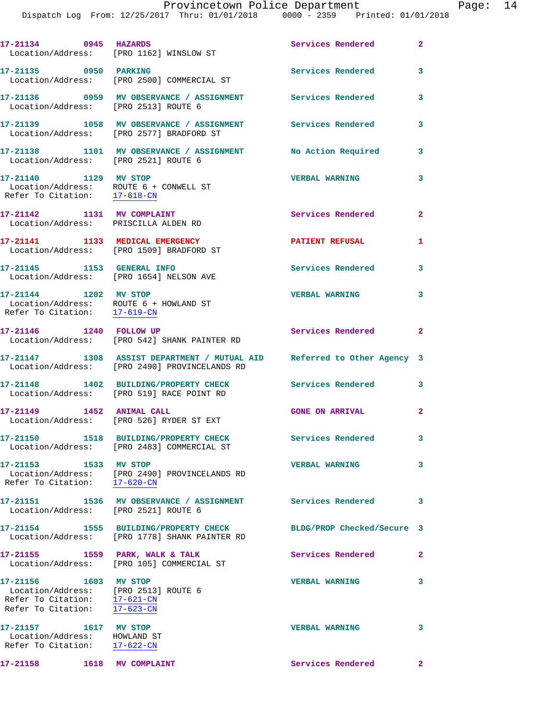| 17-21134 0945 HAZARDS                                                                                                         | Location/Address: [PRO 1162] WINSLOW ST                                                                                  | Services Rendered          | $\overline{2}$ |
|-------------------------------------------------------------------------------------------------------------------------------|--------------------------------------------------------------------------------------------------------------------------|----------------------------|----------------|
| 17-21135 0950 PARKING                                                                                                         | Location/Address: [PRO 2500] COMMERCIAL ST                                                                               | <b>Services Rendered</b>   | 3              |
| Location/Address: [PRO 2513] ROUTE 6                                                                                          | 17-21136 0959 MV OBSERVANCE / ASSIGNMENT Services Rendered                                                               |                            | 3              |
|                                                                                                                               | 17-21139 1058 MV OBSERVANCE / ASSIGNMENT Services Rendered<br>Location/Address: [PRO 2577] BRADFORD ST                   |                            | 3              |
| Location/Address: [PRO 2521] ROUTE 6                                                                                          | 17-21138 1101 MV OBSERVANCE / ASSIGNMENT No Action Required                                                              |                            | 3              |
| 17-21140 1129 MV STOP<br>Location/Address: ROUTE 6 + CONWELL ST<br>Refer To Citation: $\frac{17-618-CN}{17-618-CN}$           |                                                                                                                          | <b>VERBAL WARNING</b>      | 3              |
| 17-21142 1131 MV COMPLAINT<br>Location/Address: PRISCILLA ALDEN RD                                                            |                                                                                                                          | Services Rendered          | $\mathbf{2}$   |
|                                                                                                                               | 17-21141 1133 MEDICAL EMERGENCY<br>Location/Address: [PRO 1509] BRADFORD ST                                              | <b>PATIENT REFUSAL</b>     | 1              |
| 17-21145 1153 GENERAL INFO                                                                                                    | Location/Address: [PRO 1654] NELSON AVE                                                                                  | <b>Services Rendered</b>   | 3              |
| 17-21144 1202 MV STOP<br>Location/Address: ROUTE 6 + HOWLAND ST<br>Refer To Citation: $\frac{17-619-CN}{\pi}$                 |                                                                                                                          | <b>VERBAL WARNING</b>      | 3              |
| 17-21146 1240 FOLLOW UP                                                                                                       | Location/Address: [PRO 542] SHANK PAINTER RD                                                                             | Services Rendered 2        |                |
|                                                                                                                               | 17-21147 1308 ASSIST DEPARTMENT / MUTUAL AID Referred to Other Agency 3<br>Location/Address: [PRO 2490] PROVINCELANDS RD |                            |                |
|                                                                                                                               | 17-21148 1402 BUILDING/PROPERTY CHECK<br>Location/Address: [PRO 519] RACE POINT RD                                       | <b>Services Rendered</b>   | $\mathbf{3}$   |
|                                                                                                                               | Location/Address: [PRO 526] RYDER ST EXT                                                                                 | <b>GONE ON ARRIVAL</b>     | $\overline{a}$ |
|                                                                                                                               | 17-21150 1518 BUILDING/PROPERTY CHECK<br>Location/Address: [PRO 2483] COMMERCIAL ST                                      | Services Rendered          | 3              |
| 17-21153 1533 MV STOP<br>Refer To Citation: 17-620-CN                                                                         | Location/Address: [PRO 2490] PROVINCELANDS RD                                                                            | <b>VERBAL WARNING</b>      | 3              |
| Location/Address: [PRO 2521] ROUTE 6                                                                                          | 17-21151             1536    MV OBSERVANCE  / ASSIGNMENT               Services Rendered                                 |                            | 3              |
|                                                                                                                               | 17-21154 1555 BUILDING/PROPERTY CHECK<br>Location/Address: [PRO 1778] SHANK PAINTER RD                                   | BLDG/PROP Checked/Secure 3 |                |
| Location/Address:                                                                                                             | 17-21155 1559 PARK, WALK & TALK<br>[PRO 105] COMMERCIAL ST                                                               | Services Rendered          | $\mathbf{2}$   |
| 17-21156 1603 MV STOP<br>Location/Address: [PRO 2513] ROUTE 6<br>Refer To Citation: 17-621-CN<br>Refer To Citation: 17-623-CN |                                                                                                                          | <b>VERBAL WARNING</b>      | 3              |
| 17-21157 1617 MV STOP<br>Location/Address: HOWLAND ST<br>Refer To Citation: 17-622-CN                                         |                                                                                                                          | <b>VERBAL WARNING</b>      | 3              |
| 17-21158   1618   MV COMPLAINT                                                                                                |                                                                                                                          | Services Rendered          | $\mathbf{2}$   |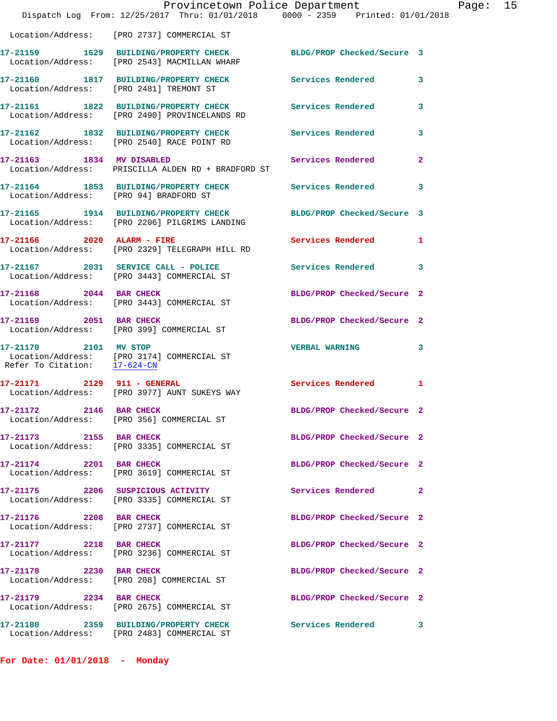|                                                       | Provincetown Police Department<br>Dispatch Log From: 12/25/2017 Thru: 01/01/2018 0000 - 2359 Printed: 01/01/2018  |                            |                |
|-------------------------------------------------------|-------------------------------------------------------------------------------------------------------------------|----------------------------|----------------|
|                                                       | Location/Address: [PRO 2737] COMMERCIAL ST                                                                        |                            |                |
|                                                       |                                                                                                                   | BLDG/PROP Checked/Secure 3 |                |
|                                                       | 17-21160 1817 BUILDING/PROPERTY CHECK Services Rendered<br>Location/Address: [PRO 2481] TREMONT ST                |                            | 3              |
|                                                       | 17-21161 1822 BUILDING/PROPERTY CHECK<br>Location/Address: [PRO 2490] PROVINCELANDS RD                            | <b>Services Rendered</b>   | 3              |
|                                                       | 17-21162 1832 BUILDING/PROPERTY CHECK Services Rendered<br>Location/Address: [PRO 2540] RACE POINT RD             |                            | 3              |
| 17-21163 1834 MV DISABLED                             | Location/Address: PRISCILLA ALDEN RD + BRADFORD ST                                                                | Services Rendered          | $\overline{2}$ |
| Location/Address: [PRO 94] BRADFORD ST                | 17-21164 1853 BUILDING/PROPERTY CHECK Services Rendered                                                           |                            | 3              |
|                                                       | 17-21165 1914 BUILDING/PROPERTY CHECK BLDG/PROP Checked/Secure 3<br>Location/Address: [PRO 2206] PILGRIMS LANDING |                            |                |
|                                                       | 17-21166  2020 ALARM - FIRE<br>Location/Address: [PRO 2329] TELEGRAPH HILL RD                                     | <b>Services Rendered</b>   | 1              |
|                                                       | 17-21167 2031 SERVICE CALL - POLICE<br>Location/Address: [PRO 3443] COMMERCIAL ST                                 | Services Rendered          | 3              |
|                                                       | 17-21168 2044 BAR CHECK<br>Location/Address: [PRO 3443] COMMERCIAL ST                                             | BLDG/PROP Checked/Secure 2 |                |
| 17-21169 2051 BAR CHECK                               | Location/Address: [PRO 399] COMMERCIAL ST                                                                         | BLDG/PROP Checked/Secure 2 |                |
| 17-21170 2101 MV STOP<br>Refer To Citation: 17-624-CN | Location/Address: [PRO 3174] COMMERCIAL ST                                                                        | <b>VERBAL WARNING</b>      | 3              |
|                                                       | 17-21171 2129 911 - GENERAL<br>Location/Address: [PRO 3977] AUNT SUKEYS WAY                                       | <b>Services Rendered</b>   | 1              |
| 17-21172 2146 BAR CHECK                               | Location/Address: [PRO 356] COMMERCIAL ST                                                                         | BLDG/PROP Checked/Secure 2 |                |
| 17-21173 2155 BAR CHECK                               | Location/Address: [PRO 3335] COMMERCIAL ST                                                                        | BLDG/PROP Checked/Secure 2 |                |
| 17-21174 2201 BAR CHECK                               | Location/Address: [PRO 3619] COMMERCIAL ST                                                                        | BLDG/PROP Checked/Secure 2 |                |
|                                                       | 17-21175 2206 SUSPICIOUS ACTIVITY<br>Location/Address: [PRO 3335] COMMERCIAL ST                                   | Services Rendered          | $\overline{2}$ |
| 17-21176 2208 BAR CHECK                               | Location/Address: [PRO 2737] COMMERCIAL ST                                                                        | BLDG/PROP Checked/Secure 2 |                |
| 17-21177 2218 BAR CHECK                               | Location/Address: [PRO 3236] COMMERCIAL ST                                                                        | BLDG/PROP Checked/Secure 2 |                |
| 17-21178 2230 BAR CHECK                               | Location/Address: [PRO 208] COMMERCIAL ST                                                                         | BLDG/PROP Checked/Secure 2 |                |
| 17-21179 2234 BAR CHECK                               | Location/Address: [PRO 2675] COMMERCIAL ST                                                                        | BLDG/PROP Checked/Secure 2 |                |
|                                                       | 17-21180 2359 BUILDING/PROPERTY CHECK<br>Location/Address: [PRO 2483] COMMERCIAL ST                               | Services Rendered          | 3              |

**For Date: 01/01/2018 - Monday**

## Page:  $15$ <br>018